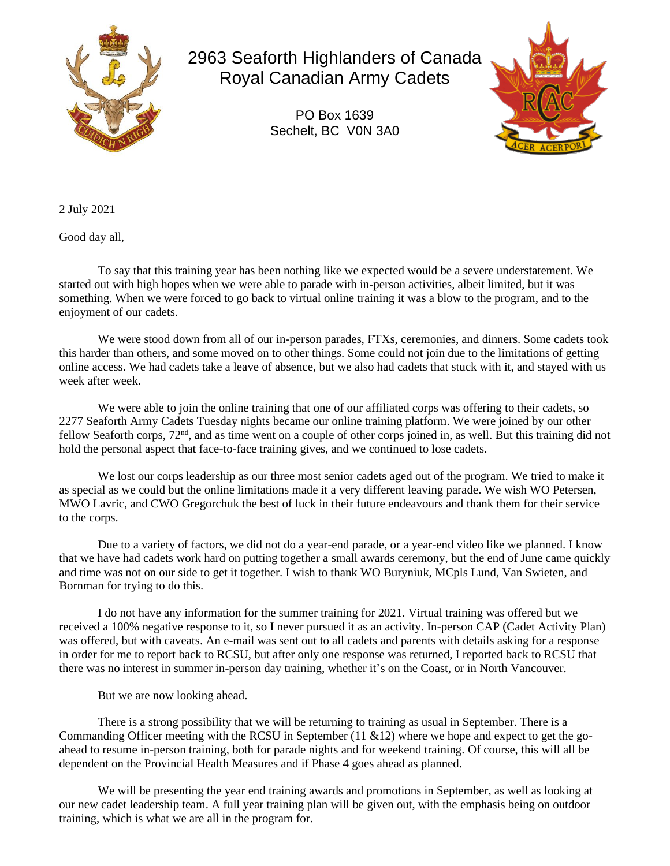

2963 Seaforth Highlanders of Canada Royal Canadian Army Cadets

> PO Box 1639 Sechelt, BC V0N 3A0



2 July 2021

Good day all,

To say that this training year has been nothing like we expected would be a severe understatement. We started out with high hopes when we were able to parade with in-person activities, albeit limited, but it was something. When we were forced to go back to virtual online training it was a blow to the program, and to the enjoyment of our cadets.

We were stood down from all of our in-person parades, FTXs, ceremonies, and dinners. Some cadets took this harder than others, and some moved on to other things. Some could not join due to the limitations of getting online access. We had cadets take a leave of absence, but we also had cadets that stuck with it, and stayed with us week after week.

We were able to join the online training that one of our affiliated corps was offering to their cadets, so 2277 Seaforth Army Cadets Tuesday nights became our online training platform. We were joined by our other fellow Seaforth corps,  $72<sup>nd</sup>$ , and as time went on a couple of other corps joined in, as well. But this training did not hold the personal aspect that face-to-face training gives, and we continued to lose cadets.

We lost our corps leadership as our three most senior cadets aged out of the program. We tried to make it as special as we could but the online limitations made it a very different leaving parade. We wish WO Petersen, MWO Lavric, and CWO Gregorchuk the best of luck in their future endeavours and thank them for their service to the corps.

Due to a variety of factors, we did not do a year-end parade, or a year-end video like we planned. I know that we have had cadets work hard on putting together a small awards ceremony, but the end of June came quickly and time was not on our side to get it together. I wish to thank WO Buryniuk, MCpls Lund, Van Swieten, and Bornman for trying to do this.

I do not have any information for the summer training for 2021. Virtual training was offered but we received a 100% negative response to it, so I never pursued it as an activity. In-person CAP (Cadet Activity Plan) was offered, but with caveats. An e-mail was sent out to all cadets and parents with details asking for a response in order for me to report back to RCSU, but after only one response was returned, I reported back to RCSU that there was no interest in summer in-person day training, whether it's on the Coast, or in North Vancouver.

But we are now looking ahead.

There is a strong possibility that we will be returning to training as usual in September. There is a Commanding Officer meeting with the RCSU in September  $(11 \& 12)$  where we hope and expect to get the goahead to resume in-person training, both for parade nights and for weekend training. Of course, this will all be dependent on the Provincial Health Measures and if Phase 4 goes ahead as planned.

We will be presenting the year end training awards and promotions in September, as well as looking at our new cadet leadership team. A full year training plan will be given out, with the emphasis being on outdoor training, which is what we are all in the program for.